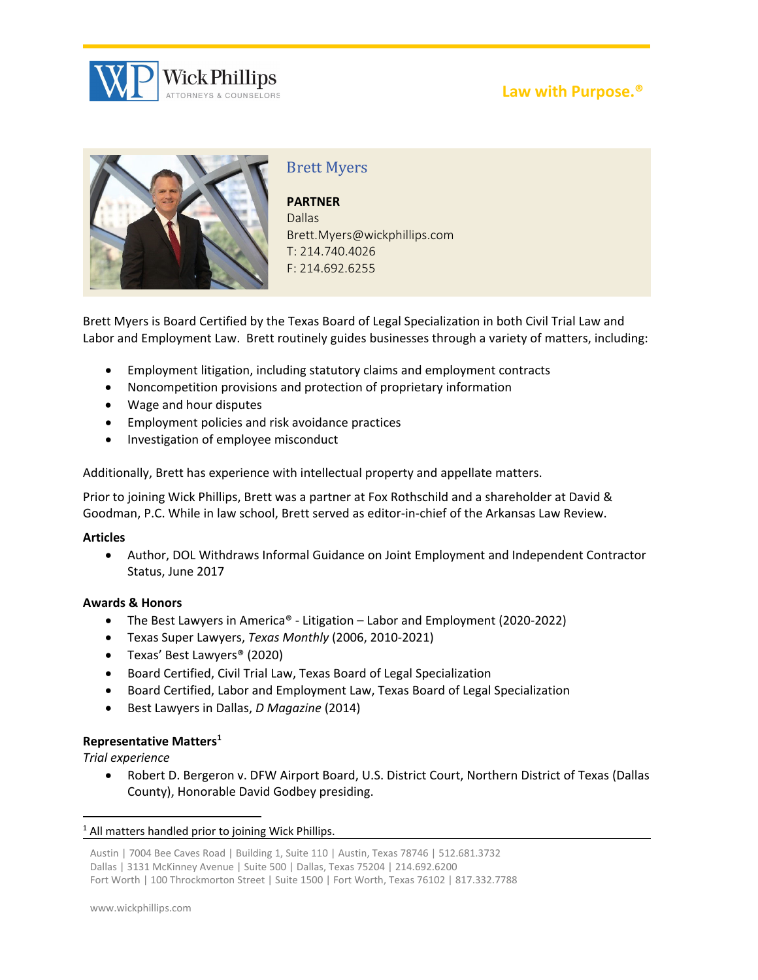

# **Law with Purpose.®**



# Brett Myers

**PARTNER** Dallas Brett.Myers@wickphillips.com T: 214.740.4026 F: 214.692.6255

Brett Myers is Board Certified by the Texas Board of Legal Specialization in both Civil Trial Law and Labor and Employment Law. Brett routinely guides businesses through a variety of matters, including:

- Employment litigation, including statutory claims and employment contracts
- Noncompetition provisions and protection of proprietary information
- Wage and hour disputes
- Employment policies and risk avoidance practices
- Investigation of employee misconduct

Additionally, Brett has experience with intellectual property and appellate matters.

Prior to joining Wick Phillips, Brett was a partner at Fox Rothschild and a shareholder at David & Goodman, P.C. While in law school, Brett served as editor-in-chief of the Arkansas Law Review.

### **Articles**

 Author, DOL Withdraws Informal Guidance on Joint Employment and Independent Contractor Status, June 2017

## **Awards & Honors**

- The Best Lawyers in America® ‐ Litigation Labor and Employment (2020‐2022)
- Texas Super Lawyers, *Texas Monthly* (2006, 2010‐2021)
- Texas' Best Lawyers® (2020)
- Board Certified, Civil Trial Law, Texas Board of Legal Specialization
- Board Certified, Labor and Employment Law, Texas Board of Legal Specialization
- Best Lawyers in Dallas, *D Magazine* (2014)

## **Representative Matters1**

*Trial experience*

 Robert D. Bergeron v. DFW Airport Board, U.S. District Court, Northern District of Texas (Dallas County), Honorable David Godbey presiding.

### $1$  All matters handled prior to joining Wick Phillips.

```
Austin | 7004 Bee Caves Road | Building 1, Suite 110 | Austin, Texas 78746 | 512.681.3732
Dallas | 3131 McKinney Avenue | Suite 500 | Dallas, Texas 75204 | 214.692.6200
Fort Worth | 100 Throckmorton Street | Suite 1500 | Fort Worth, Texas 76102 | 817.332.7788
```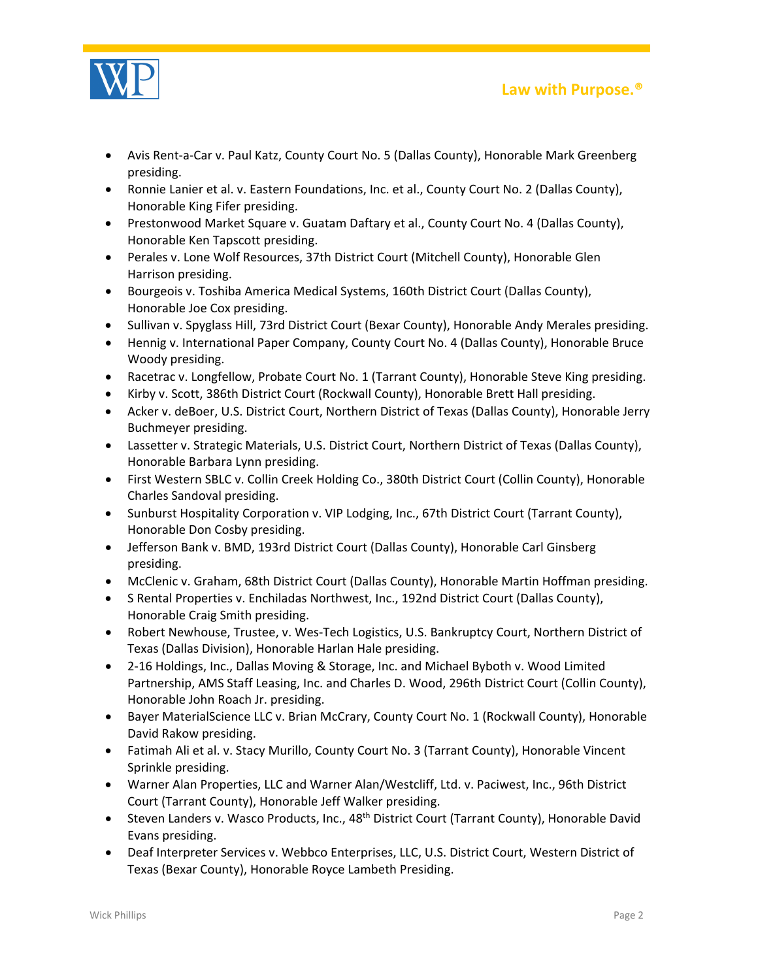

 Avis Rent‐a‐Car v. Paul Katz, County Court No. 5 (Dallas County), Honorable Mark Greenberg presiding.

**Law with Purpose.®**

- Ronnie Lanier et al. v. Eastern Foundations, Inc. et al., County Court No. 2 (Dallas County), Honorable King Fifer presiding.
- Prestonwood Market Square v. Guatam Daftary et al., County Court No. 4 (Dallas County), Honorable Ken Tapscott presiding.
- Perales v. Lone Wolf Resources, 37th District Court (Mitchell County), Honorable Glen Harrison presiding.
- **•** Bourgeois v. Toshiba America Medical Systems, 160th District Court (Dallas County), Honorable Joe Cox presiding.
- Sullivan v. Spyglass Hill, 73rd District Court (Bexar County), Honorable Andy Merales presiding.
- Hennig v. International Paper Company, County Court No. 4 (Dallas County), Honorable Bruce Woody presiding.
- Racetrac v. Longfellow, Probate Court No. 1 (Tarrant County), Honorable Steve King presiding.
- Kirby v. Scott, 386th District Court (Rockwall County), Honorable Brett Hall presiding.
- Acker v. deBoer, U.S. District Court, Northern District of Texas (Dallas County), Honorable Jerry Buchmeyer presiding.
- Lassetter v. Strategic Materials, U.S. District Court, Northern District of Texas (Dallas County), Honorable Barbara Lynn presiding.
- First Western SBLC v. Collin Creek Holding Co., 380th District Court (Collin County), Honorable Charles Sandoval presiding.
- Sunburst Hospitality Corporation v. VIP Lodging, Inc., 67th District Court (Tarrant County), Honorable Don Cosby presiding.
- Jefferson Bank v. BMD, 193rd District Court (Dallas County), Honorable Carl Ginsberg presiding.
- McClenic v. Graham, 68th District Court (Dallas County), Honorable Martin Hoffman presiding.
- S Rental Properties v. Enchiladas Northwest, Inc., 192nd District Court (Dallas County), Honorable Craig Smith presiding.
- Robert Newhouse, Trustee, v. Wes-Tech Logistics, U.S. Bankruptcy Court, Northern District of Texas (Dallas Division), Honorable Harlan Hale presiding.
- 2-16 Holdings, Inc., Dallas Moving & Storage, Inc. and Michael Byboth v. Wood Limited Partnership, AMS Staff Leasing, Inc. and Charles D. Wood, 296th District Court (Collin County), Honorable John Roach Jr. presiding.
- Bayer MaterialScience LLC v. Brian McCrary, County Court No. 1 (Rockwall County), Honorable David Rakow presiding.
- Fatimah Ali et al. v. Stacy Murillo, County Court No. 3 (Tarrant County), Honorable Vincent Sprinkle presiding.
- Warner Alan Properties, LLC and Warner Alan/Westcliff, Ltd. v. Paciwest, Inc., 96th District Court (Tarrant County), Honorable Jeff Walker presiding.
- Steven Landers v. Wasco Products, Inc., 48<sup>th</sup> District Court (Tarrant County), Honorable David Evans presiding.
- Deaf Interpreter Services v. Webbco Enterprises, LLC, U.S. District Court, Western District of Texas (Bexar County), Honorable Royce Lambeth Presiding.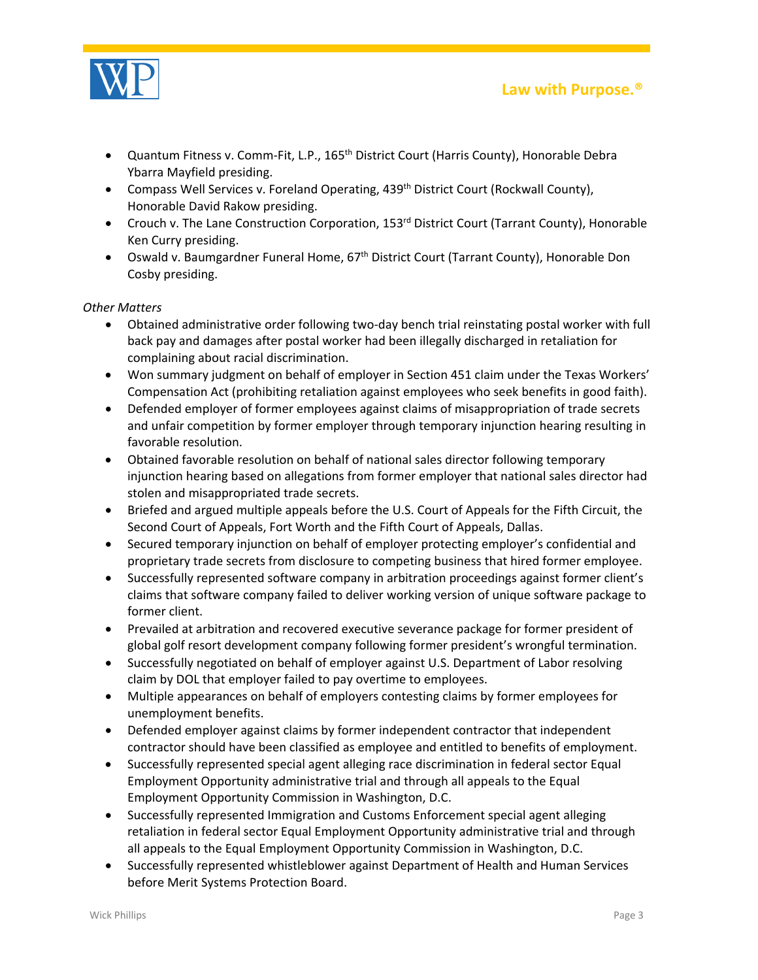

**Law with Purpose.®**

- Quantum Fitness v. Comm-Fit, L.P., 165<sup>th</sup> District Court (Harris County), Honorable Debra Ybarra Mayfield presiding.
- **Compass Well Services v. Foreland Operating, 439th District Court (Rockwall County),** Honorable David Rakow presiding.
- Crouch v. The Lane Construction Corporation, 153<sup>rd</sup> District Court (Tarrant County), Honorable Ken Curry presiding.
- Oswald v. Baumgardner Funeral Home, 67<sup>th</sup> District Court (Tarrant County), Honorable Don Cosby presiding.

## *Other Matters*

- Obtained administrative order following two-day bench trial reinstating postal worker with full back pay and damages after postal worker had been illegally discharged in retaliation for complaining about racial discrimination.
- Won summary judgment on behalf of employer in Section 451 claim under the Texas Workers' Compensation Act (prohibiting retaliation against employees who seek benefits in good faith).
- Defended employer of former employees against claims of misappropriation of trade secrets and unfair competition by former employer through temporary injunction hearing resulting in favorable resolution.
- Obtained favorable resolution on behalf of national sales director following temporary injunction hearing based on allegations from former employer that national sales director had stolen and misappropriated trade secrets.
- Briefed and argued multiple appeals before the U.S. Court of Appeals for the Fifth Circuit, the Second Court of Appeals, Fort Worth and the Fifth Court of Appeals, Dallas.
- Secured temporary injunction on behalf of employer protecting employer's confidential and proprietary trade secrets from disclosure to competing business that hired former employee.
- Successfully represented software company in arbitration proceedings against former client's claims that software company failed to deliver working version of unique software package to former client.
- Prevailed at arbitration and recovered executive severance package for former president of global golf resort development company following former president's wrongful termination.
- Successfully negotiated on behalf of employer against U.S. Department of Labor resolving claim by DOL that employer failed to pay overtime to employees.
- Multiple appearances on behalf of employers contesting claims by former employees for unemployment benefits.
- Defended employer against claims by former independent contractor that independent contractor should have been classified as employee and entitled to benefits of employment.
- Successfully represented special agent alleging race discrimination in federal sector Equal Employment Opportunity administrative trial and through all appeals to the Equal Employment Opportunity Commission in Washington, D.C.
- Successfully represented Immigration and Customs Enforcement special agent alleging retaliation in federal sector Equal Employment Opportunity administrative trial and through all appeals to the Equal Employment Opportunity Commission in Washington, D.C.
- Successfully represented whistleblower against Department of Health and Human Services before Merit Systems Protection Board.